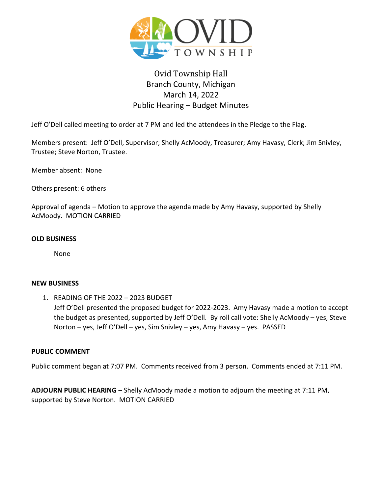

# Ovid Township Hall Branch County, Michigan March 14, 2022 Public Hearing – Budget Minutes

Jeff O'Dell called meeting to order at 7 PM and led the attendees in the Pledge to the Flag.

Members present: Jeff O'Dell, Supervisor; Shelly AcMoody, Treasurer; Amy Havasy, Clerk; Jim Snivley, Trustee; Steve Norton, Trustee.

Member absent: None

Others present: 6 others

Approval of agenda – Motion to approve the agenda made by Amy Havasy, supported by Shelly AcMoody. MOTION CARRIED

#### **OLD BUSINESS**

None

#### **NEW BUSINESS**

1. READING OF THE 2022 – 2023 BUDGET Jeff O'Dell presented the proposed budget for 2022-2023. Amy Havasy made a motion to accept the budget as presented, supported by Jeff O'Dell. By roll call vote: Shelly AcMoody – yes, Steve Norton – yes, Jeff O'Dell – yes, Sim Snivley – yes, Amy Havasy – yes. PASSED

#### **PUBLIC COMMENT**

Public comment began at 7:07 PM. Comments received from 3 person. Comments ended at 7:11 PM.

**ADJOURN PUBLIC HEARING** – Shelly AcMoody made a motion to adjourn the meeting at 7:11 PM, supported by Steve Norton. MOTION CARRIED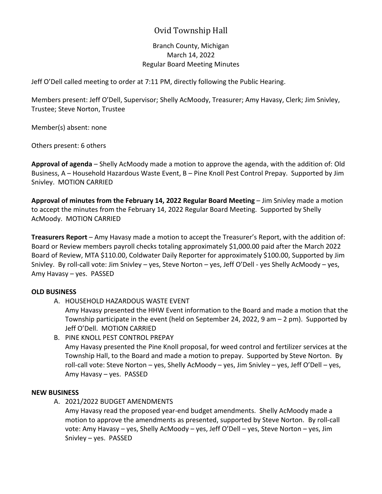## Ovid Township Hall

## Branch County, Michigan March 14, 2022 Regular Board Meeting Minutes

Jeff O'Dell called meeting to order at 7:11 PM, directly following the Public Hearing.

Members present: Jeff O'Dell, Supervisor; Shelly AcMoody, Treasurer; Amy Havasy, Clerk; Jim Snivley, Trustee; Steve Norton, Trustee

Member(s) absent: none

Others present: 6 others

**Approval of agenda** – Shelly AcMoody made a motion to approve the agenda, with the addition of: Old Business, A – Household Hazardous Waste Event, B – Pine Knoll Pest Control Prepay. Supported by Jim Snivley. MOTION CARRIED

**Approval of minutes from the February 14, 2022 Regular Board Meeting** – Jim Snivley made a motion to accept the minutes from the February 14, 2022 Regular Board Meeting. Supported by Shelly AcMoody. MOTION CARRIED

**Treasurers Report** – Amy Havasy made a motion to accept the Treasurer's Report, with the addition of: Board or Review members payroll checks totaling approximately \$1,000.00 paid after the March 2022 Board of Review, MTA \$110.00, Coldwater Daily Reporter for approximately \$100.00, Supported by Jim Snivley. By roll-call vote: Jim Snivley – yes, Steve Norton – yes, Jeff O'Dell - yes Shelly AcMoody – yes, Amy Havasy – yes. PASSED

## **OLD BUSINESS**

A. HOUSEHOLD HAZARDOUS WASTE EVENT

Amy Havasy presented the HHW Event information to the Board and made a motion that the Township participate in the event (held on September 24, 2022, 9 am  $-$  2 pm). Supported by Jeff O'Dell. MOTION CARRIED

B. PINE KNOLL PEST CONTROL PREPAY Amy Havasy presented the Pine Knoll proposal, for weed control and fertilizer services at the Township Hall, to the Board and made a motion to prepay. Supported by Steve Norton. By roll-call vote: Steve Norton – yes, Shelly AcMoody – yes, Jim Snivley – yes, Jeff O'Dell – yes, Amy Havasy – yes. PASSED

#### **NEW BUSINESS**

A. 2021/2022 BUDGET AMENDMENTS

Amy Havasy read the proposed year-end budget amendments. Shelly AcMoody made a motion to approve the amendments as presented, supported by Steve Norton. By roll-call vote: Amy Havasy – yes, Shelly AcMoody – yes, Jeff O'Dell – yes, Steve Norton – yes, Jim Snivley – yes. PASSED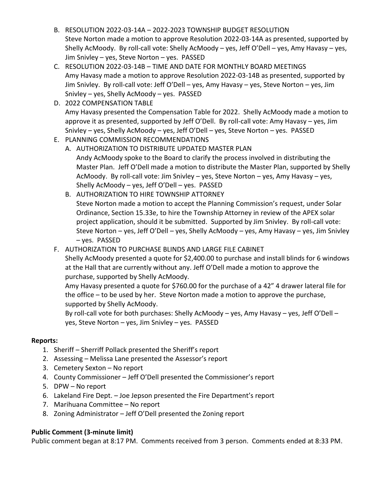- B. RESOLUTION 2022-03-14A 2022-2023 TOWNSHIP BUDGET RESOLUTION Steve Norton made a motion to approve Resolution 2022-03-14A as presented, supported by Shelly AcMoody. By roll-call vote: Shelly AcMoody – yes, Jeff O'Dell – yes, Amy Havasy – yes, Jim Snivley – yes, Steve Norton – yes. PASSED
- C. RESOLUTION 2022-03-14B TIME AND DATE FOR MONTHLY BOARD MEETINGS Amy Havasy made a motion to approve Resolution 2022-03-14B as presented, supported by Jim Snivley. By roll-call vote: Jeff O'Dell – yes, Amy Havasy – yes, Steve Norton – yes, Jim Snivley – yes, Shelly AcMoody – yes. PASSED
- D. 2022 COMPENSATION TABLE Amy Havasy presented the Compensation Table for 2022. Shelly AcMoody made a motion to approve it as presented, supported by Jeff O'Dell. By roll-call vote: Amy Havasy – yes, Jim Snivley – yes, Shelly AcMoody – yes, Jeff O'Dell – yes, Steve Norton – yes. PASSED
- E. PLANNING COMMISSION RECOMMENDATIONS
	- A. AUTHORIZATION TO DISTRIBUTE UPDATED MASTER PLAN Andy AcMoody spoke to the Board to clarify the process involved in distributing the Master Plan. Jeff O'Dell made a motion to distribute the Master Plan, supported by Shelly AcMoody. By roll-call vote: Jim Snivley – yes, Steve Norton – yes, Amy Havasy – yes, Shelly AcMoody – yes, Jeff O'Dell – yes. PASSED
	- B. AUTHORIZATION TO HIRE TOWNSHIP ATTORNEY Steve Norton made a motion to accept the Planning Commission's request, under Solar Ordinance, Section 15.33e, to hire the Township Attorney in review of the APEX solar project application, should it be submitted. Supported by Jim Snivley. By roll-call vote: Steve Norton – yes, Jeff O'Dell – yes, Shelly AcMoody – yes, Amy Havasy – yes, Jim Snivley – yes. PASSED
- F. AUTHORIZATION TO PURCHASE BLINDS AND LARGE FILE CABINET

Shelly AcMoody presented a quote for \$2,400.00 to purchase and install blinds for 6 windows at the Hall that are currently without any. Jeff O'Dell made a motion to approve the purchase, supported by Shelly AcMoody.

Amy Havasy presented a quote for \$760.00 for the purchase of a 42" 4 drawer lateral file for the office – to be used by her. Steve Norton made a motion to approve the purchase, supported by Shelly AcMoody.

By roll-call vote for both purchases: Shelly AcMoody – yes, Amy Havasy – yes, Jeff O'Dell – yes, Steve Norton – yes, Jim Snivley – yes. PASSED

## **Reports:**

- 1. Sheriff Sherriff Pollack presented the Sheriff's report
- 2. Assessing Melissa Lane presented the Assessor's report
- 3. Cemetery Sexton No report
- 4. County Commissioner Jeff O'Dell presented the Commissioner's report
- 5. DPW No report
- 6. Lakeland Fire Dept. Joe Jepson presented the Fire Department's report
- 7. Marihuana Committee No report
- 8. Zoning Administrator Jeff O'Dell presented the Zoning report

## **Public Comment (3-minute limit)**

Public comment began at 8:17 PM. Comments received from 3 person. Comments ended at 8:33 PM.